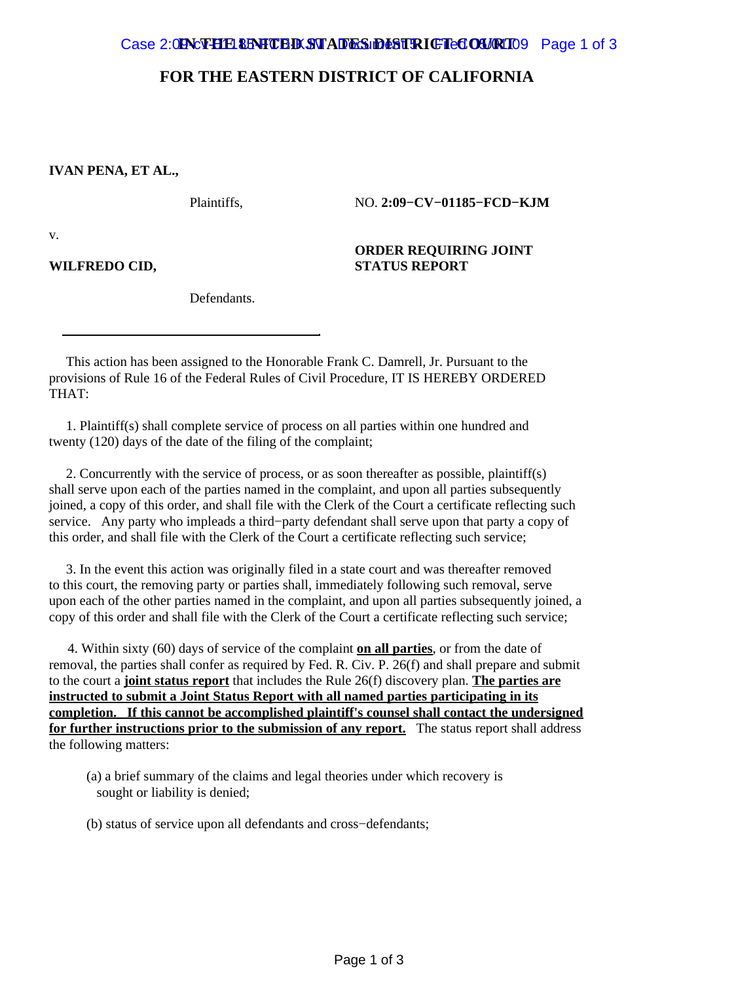## **FOR THE EASTERN DISTRICT OF CALIFORNIA**

## **IVAN PENA, ET AL.,**

Plaintiffs,

NO. **2:09−CV−01185−FCD−KJM**

**ORDER REQUIRING JOINT**

**STATUS REPORT**

v.

**WILFREDO CID,**

Defendants.

 This action has been assigned to the Honorable Frank C. Damrell, Jr. Pursuant to the provisions of Rule 16 of the Federal Rules of Civil Procedure, IT IS HEREBY ORDERED THAT:

 1. Plaintiff(s) shall complete service of process on all parties within one hundred and twenty (120) days of the date of the filing of the complaint;

 2. Concurrently with the service of process, or as soon thereafter as possible, plaintiff(s) shall serve upon each of the parties named in the complaint, and upon all parties subsequently joined, a copy of this order, and shall file with the Clerk of the Court a certificate reflecting such service. Any party who impleads a third−party defendant shall serve upon that party a copy of this order, and shall file with the Clerk of the Court a certificate reflecting such service;

 3. In the event this action was originally filed in a state court and was thereafter removed to this court, the removing party or parties shall, immediately following such removal, serve upon each of the other parties named in the complaint, and upon all parties subsequently joined, a copy of this order and shall file with the Clerk of the Court a certificate reflecting such service;

4. Within sixty (60) days of service of the complaint **on all parties**, or from the date of removal, the parties shall confer as required by Fed. R. Civ. P. 26(f) and shall prepare and submit to the court a **joint status report** that includes the Rule 26(f) discovery plan. **The parties are instructed to submit a Joint Status Report with all named parties participating in its completion. If this cannot be accomplished plaintiff's counsel shall contact the undersigned for further instructions prior to the submission of any report.** The status report shall address the following matters:

 (a) a brief summary of the claims and legal theories under which recovery is sought or liability is denied;

(b) status of service upon all defendants and cross−defendants;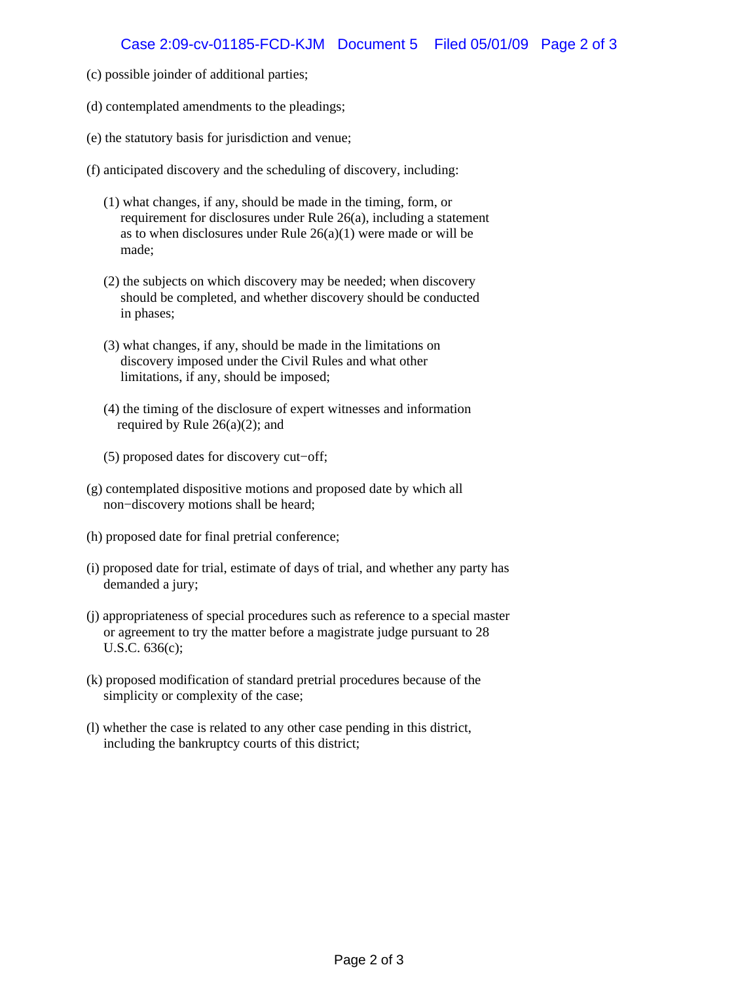- (c) possible joinder of additional parties;
- (d) contemplated amendments to the pleadings;
- (e) the statutory basis for jurisdiction and venue;
- (f) anticipated discovery and the scheduling of discovery, including:
	- (1) what changes, if any, should be made in the timing, form, or requirement for disclosures under Rule 26(a), including a statement as to when disclosures under Rule  $26(a)(1)$  were made or will be made;
	- (2) the subjects on which discovery may be needed; when discovery should be completed, and whether discovery should be conducted in phases;
	- (3) what changes, if any, should be made in the limitations on discovery imposed under the Civil Rules and what other limitations, if any, should be imposed;
	- (4) the timing of the disclosure of expert witnesses and information required by Rule  $26(a)(2)$ ; and
	- (5) proposed dates for discovery cut−off;
- (g) contemplated dispositive motions and proposed date by which all non−discovery motions shall be heard;
- (h) proposed date for final pretrial conference;
- (i) proposed date for trial, estimate of days of trial, and whether any party has demanded a jury;
- (j) appropriateness of special procedures such as reference to a special master or agreement to try the matter before a magistrate judge pursuant to 28 U.S.C. 636(c);
- (k) proposed modification of standard pretrial procedures because of the simplicity or complexity of the case;
- (l) whether the case is related to any other case pending in this district, including the bankruptcy courts of this district;